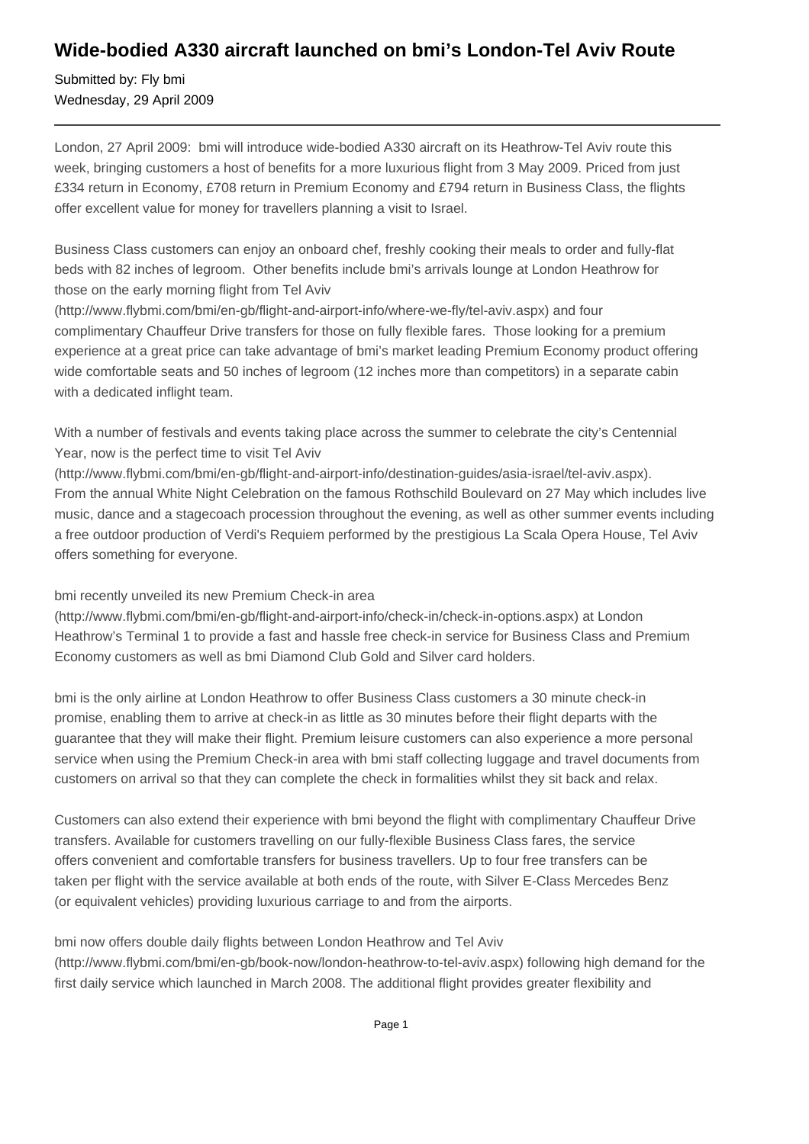## **Wide-bodied A330 aircraft launched on bmi's London-Tel Aviv Route**

Submitted by: Fly bmi Wednesday, 29 April 2009

London, 27 April 2009: bmi will introduce wide-bodied A330 aircraft on its Heathrow-Tel Aviv route this week, bringing customers a host of benefits for a more luxurious flight from 3 May 2009. Priced from just £334 return in Economy, £708 return in Premium Economy and £794 return in Business Class, the flights offer excellent value for money for travellers planning a visit to Israel.

Business Class customers can enjoy an onboard chef, freshly cooking their meals to order and fully-flat beds with 82 inches of legroom. Other benefits include bmi's arrivals lounge at London Heathrow for those on the early morning flight from Tel Aviv

(http://www.flybmi.com/bmi/en-gb/flight-and-airport-info/where-we-fly/tel-aviv.aspx) and four complimentary Chauffeur Drive transfers for those on fully flexible fares. Those looking for a premium experience at a great price can take advantage of bmi's market leading Premium Economy product offering wide comfortable seats and 50 inches of legroom (12 inches more than competitors) in a separate cabin with a dedicated inflight team.

With a number of festivals and events taking place across the summer to celebrate the city's Centennial Year, now is the perfect time to visit Tel Aviv

(http://www.flybmi.com/bmi/en-gb/flight-and-airport-info/destination-guides/asia-israel/tel-aviv.aspx). From the annual White Night Celebration on the famous Rothschild Boulevard on 27 May which includes live music, dance and a stagecoach procession throughout the evening, as well as other summer events including a free outdoor production of Verdi's Requiem performed by the prestigious La Scala Opera House, Tel Aviv offers something for everyone.

## bmi recently unveiled its new Premium Check-in area

(http://www.flybmi.com/bmi/en-gb/flight-and-airport-info/check-in/check-in-options.aspx) at London Heathrow's Terminal 1 to provide a fast and hassle free check-in service for Business Class and Premium Economy customers as well as bmi Diamond Club Gold and Silver card holders.

bmi is the only airline at London Heathrow to offer Business Class customers a 30 minute check-in promise, enabling them to arrive at check-in as little as 30 minutes before their flight departs with the guarantee that they will make their flight. Premium leisure customers can also experience a more personal service when using the Premium Check-in area with bmi staff collecting luggage and travel documents from customers on arrival so that they can complete the check in formalities whilst they sit back and relax.

Customers can also extend their experience with bmi beyond the flight with complimentary Chauffeur Drive transfers. Available for customers travelling on our fully-flexible Business Class fares, the service offers convenient and comfortable transfers for business travellers. Up to four free transfers can be taken per flight with the service available at both ends of the route, with Silver E-Class Mercedes Benz (or equivalent vehicles) providing luxurious carriage to and from the airports.

bmi now offers double daily flights between London Heathrow and Tel Aviv

(http://www.flybmi.com/bmi/en-gb/book-now/london-heathrow-to-tel-aviv.aspx) following high demand for the first daily service which launched in March 2008. The additional flight provides greater flexibility and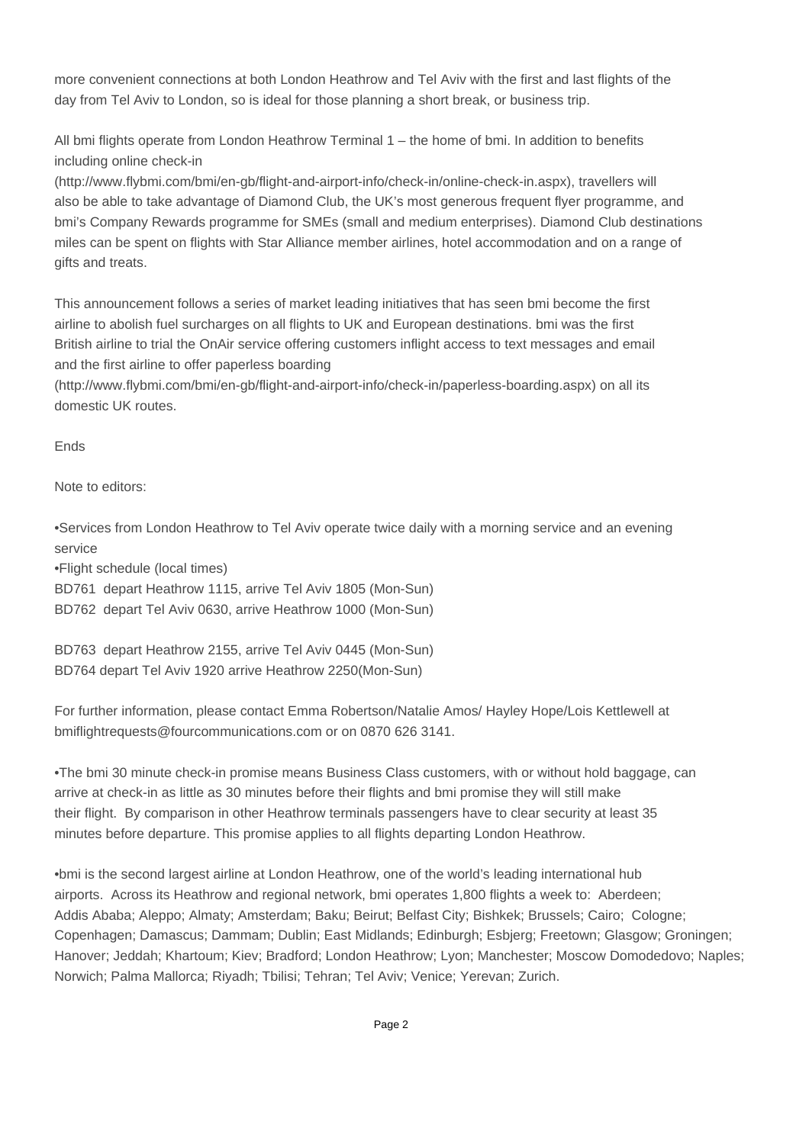more convenient connections at both London Heathrow and Tel Aviv with the first and last flights of the day from Tel Aviv to London, so is ideal for those planning a short break, or business trip.

All bmi flights operate from London Heathrow Terminal 1 – the home of bmi. In addition to benefits including online check-in

(http://www.flybmi.com/bmi/en-gb/flight-and-airport-info/check-in/online-check-in.aspx), travellers will also be able to take advantage of Diamond Club, the UK's most generous frequent flyer programme, and bmi's Company Rewards programme for SMEs (small and medium enterprises). Diamond Club destinations miles can be spent on flights with Star Alliance member airlines, hotel accommodation and on a range of gifts and treats.

This announcement follows a series of market leading initiatives that has seen bmi become the first airline to abolish fuel surcharges on all flights to UK and European destinations. bmi was the first British airline to trial the OnAir service offering customers inflight access to text messages and email and the first airline to offer paperless boarding

(http://www.flybmi.com/bmi/en-gb/flight-and-airport-info/check-in/paperless-boarding.aspx) on all its domestic UK routes.

Ends

Note to editors:

• Services from London Heathrow to Tel Aviv operate twice daily with a morning service and an evening service

• Flight schedule (local times)

BD761 depart Heathrow 1115, arrive Tel Aviv 1805 (Mon-Sun)

BD762 depart Tel Aviv 0630, arrive Heathrow 1000 (Mon-Sun)

BD763 depart Heathrow 2155, arrive Tel Aviv 0445 (Mon-Sun) BD764 depart Tel Aviv 1920 arrive Heathrow 2250(Mon-Sun)

For further information, please contact Emma Robertson/Natalie Amos/ Hayley Hope/Lois Kettlewell at bmiflightrequests@fourcommunications.com or on 0870 626 3141.

• The bmi 30 minute check-in promise means Business Class customers, with or without hold baggage, can arrive at check-in as little as 30 minutes before their flights and bmi promise they will still make their flight. By comparison in other Heathrow terminals passengers have to clear security at least 35 minutes before departure. This promise applies to all flights departing London Heathrow.

• bmi is the second largest airline at London Heathrow, one of the world's leading international hub airports. Across its Heathrow and regional network, bmi operates 1,800 flights a week to: Aberdeen; Addis Ababa; Aleppo; Almaty; Amsterdam; Baku; Beirut; Belfast City; Bishkek; Brussels; Cairo; Cologne; Copenhagen; Damascus; Dammam; Dublin; East Midlands; Edinburgh; Esbjerg; Freetown; Glasgow; Groningen; Hanover; Jeddah; Khartoum; Kiev; Bradford; London Heathrow; Lyon; Manchester; Moscow Domodedovo; Naples; Norwich; Palma Mallorca; Riyadh; Tbilisi; Tehran; Tel Aviv; Venice; Yerevan; Zurich.